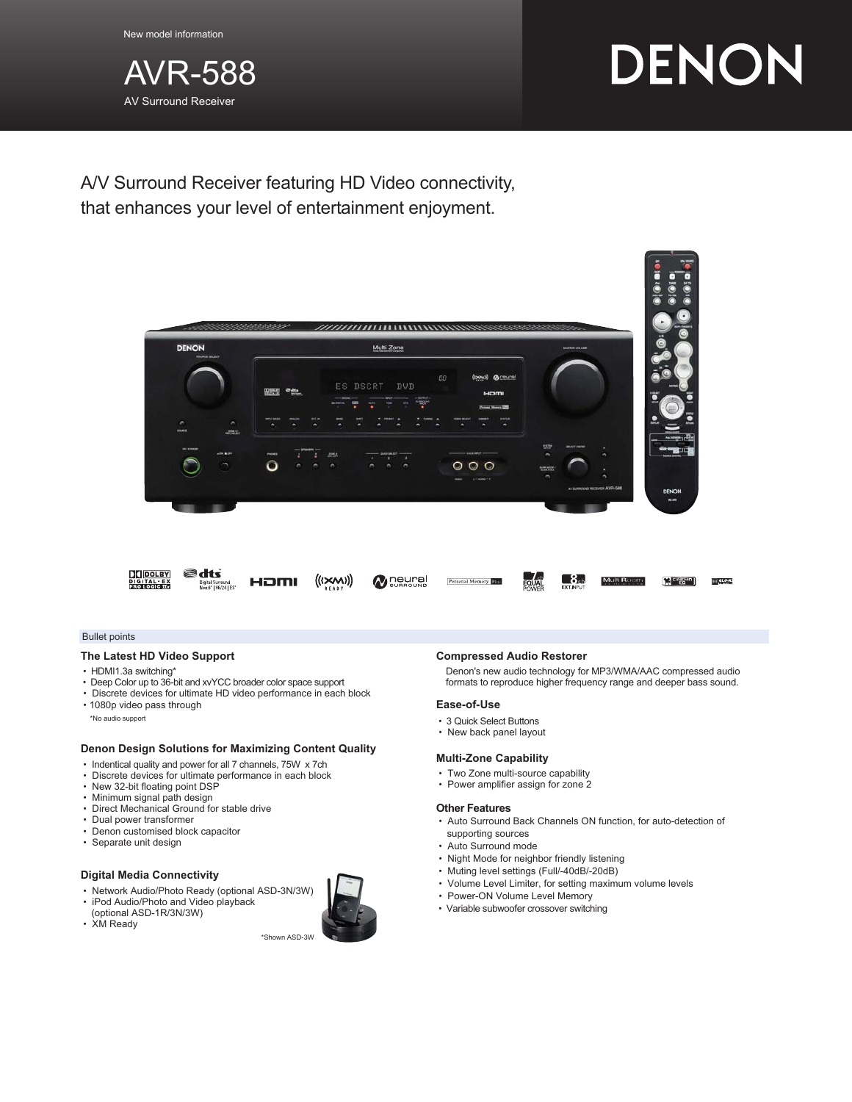

# DENON

A/V Surround Receiver featuring HD Video connectivity, that enhances your level of entertainment enjoyment.



#### Bullet points

#### **The Latest HD Video Support**

- HDMI1.3a switching\*
- Deep Color up to 36-bit and xvYCC broader color space support
- Discrete devices for ultimate HD video performance in each block
- 1080p video pass through

\*No audio support

#### **Denon Design Solutions for Maximizing Content Quality**

- Indentical quality and power for all 7 channels, 75W x 7ch
- Discrete devices for ultimate performance in each block
- New 32-bit floating point DSP • Minimum signal path design
- Direct Mechanical Ground for stable drive
- Dual power transformer
- Denon customised block capacitor
- Separate unit design

#### **Digital Media Connectivity**

- Network Audio/Photo Ready (optional ASD-3N/3W) • iPod Audio/Photo and Video playback
- (optional ASD-1R/3N/3W) • XM Ready

\*Shown ASD-3W

#### **Compressed Audio Restorer**

Denon's new audio technology for MP3/WMA/AAC compressed audio formats to reproduce higher frequency range and deeper bass sound.

#### **Ease-of-Use**

- 3 Quick Select Buttons
- New back panel layout

## **Multi-Zone Capability**

- Two Zone multi-source capability
- Power amplifier assign for zone 2

#### **Other Features**

- Auto Surround Back Channels ON function, for auto-detection of supporting sources
- Auto Surround mode
- Night Mode for neighbor friendly listening
- Muting level settings (Full/-40dB/-20dB)
- Volume Level Limiter, for setting maximum volume levels
- Power-ON Volume Level Memory
- Variable subwoofer crossover switching